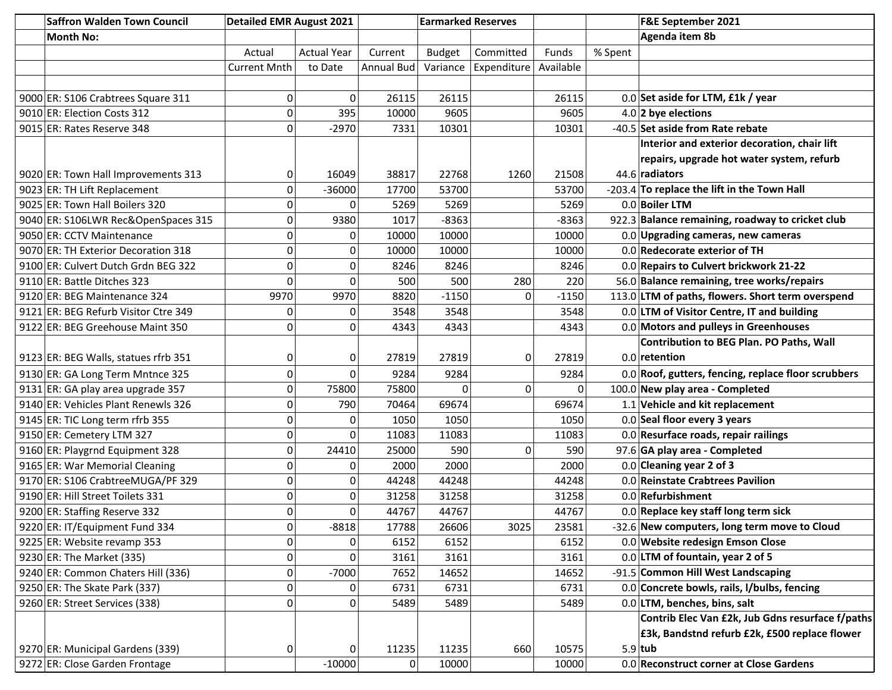| <b>Saffron Walden Town Council</b>   | <b>Detailed EMR August 2021</b> |                    | <b>Earmarked Reserves</b> |               |             |           |         | F&E September 2021                                  |
|--------------------------------------|---------------------------------|--------------------|---------------------------|---------------|-------------|-----------|---------|-----------------------------------------------------|
| <b>Month No:</b>                     |                                 |                    |                           |               |             |           |         | Agenda item 8b                                      |
|                                      | Actual                          | <b>Actual Year</b> | Current                   | <b>Budget</b> | Committed   | Funds     | % Spent |                                                     |
|                                      | <b>Current Mnth</b>             | to Date            | <b>Annual Bud</b>         | Variance      | Expenditure | Available |         |                                                     |
|                                      |                                 |                    |                           |               |             |           |         |                                                     |
| 9000 ER: S106 Crabtrees Square 311   | 0                               | 0                  | 26115                     | 26115         |             | 26115     |         | 0.0 Set aside for LTM, £1k / year                   |
| 9010 ER: Election Costs 312          | 0                               | 395                | 10000                     | 9605          |             | 9605      |         | $4.0$ 2 bye elections                               |
| 9015 ER: Rates Reserve 348           | $\overline{0}$                  | $-2970$            | 7331                      | 10301         |             | 10301     |         | -40.5 Set aside from Rate rebate                    |
|                                      |                                 |                    |                           |               |             |           |         | Interior and exterior decoration, chair lift        |
|                                      |                                 |                    |                           |               |             |           |         | repairs, upgrade hot water system, refurb           |
| 9020 ER: Town Hall Improvements 313  | 0                               | 16049              | 38817                     | 22768         | 1260        | 21508     |         | 44.6 radiators                                      |
| 9023 ER: TH Lift Replacement         | 0                               | $-36000$           | 17700                     | 53700         |             | 53700     |         | -203.4 To replace the lift in the Town Hall         |
| 9025 ER: Town Hall Boilers 320       | $\mathbf 0$                     | 0                  | 5269                      | 5269          |             | 5269      |         | 0.0 Boiler LTM                                      |
| 9040 ER: S106LWR Rec&OpenSpaces 315  | 0                               | 9380               | 1017                      | $-8363$       |             | $-8363$   |         | 922.3 Balance remaining, roadway to cricket club    |
| 9050 ER: CCTV Maintenance            | 0                               | 0                  | 10000                     | 10000         |             | 10000     |         | 0.0 Upgrading cameras, new cameras                  |
| 9070 ER: TH Exterior Decoration 318  | $\overline{0}$                  | $\pmb{0}$          | 10000                     | 10000         |             | 10000     |         | 0.0 Redecorate exterior of TH                       |
| 9100 ER: Culvert Dutch Grdn BEG 322  | $\mathbf 0$                     | 0                  | 8246                      | 8246          |             | 8246      |         | 0.0 Repairs to Culvert brickwork 21-22              |
| 9110 ER: Battle Ditches 323          | $\Omega$                        | 0                  | 500                       | 500           | 280         | 220       |         | 56.0 Balance remaining, tree works/repairs          |
| 9120 ER: BEG Maintenance 324         | 9970                            | 9970               | 8820                      | $-1150$       | 0           | $-1150$   |         | 113.0 LTM of paths, flowers. Short term overspend   |
| 9121 ER: BEG Refurb Visitor Ctre 349 | 0                               | 0                  | 3548                      | 3548          |             | 3548      |         | 0.0 LTM of Visitor Centre, IT and building          |
| 9122 ER: BEG Greehouse Maint 350     | $\mathbf 0$                     | 0                  | 4343                      | 4343          |             | 4343      |         | 0.0 Motors and pulleys in Greenhouses               |
|                                      |                                 |                    |                           |               |             |           |         | Contribution to BEG Plan. PO Paths, Wall            |
| 9123 ER: BEG Walls, statues rfrb 351 | 0                               | 0                  | 27819                     | 27819         | 0           | 27819     |         | $0.0$ retention                                     |
| 9130 ER: GA Long Term Mntnce 325     | 0                               | 0                  | 9284                      | 9284          |             | 9284      |         | 0.0 Roof, gutters, fencing, replace floor scrubbers |
| 9131 ER: GA play area upgrade 357    | 0                               | 75800              | 75800                     | $\Omega$      | 0           | 0         |         | 100.0 New play area - Completed                     |
| 9140 ER: Vehicles Plant Renewls 326  | 0                               | 790                | 70464                     | 69674         |             | 69674     |         | $1.1$ Vehicle and kit replacement                   |
| 9145 ER: TIC Long term rfrb 355      | 0                               | 0                  | 1050                      | 1050          |             | 1050      |         | 0.0 Seal floor every 3 years                        |
| 9150 ER: Cemetery LTM 327            | 0                               | 0                  | 11083                     | 11083         |             | 11083     |         | 0.0 Resurface roads, repair railings                |
| 9160 ER: Playgrnd Equipment 328      | 0                               | 24410              | 25000                     | 590           | 0           | 590       |         | 97.6 GA play area - Completed                       |
| 9165 ER: War Memorial Cleaning       | 0                               | 0                  | 2000                      | 2000          |             | 2000      |         | $0.0$ Cleaning year 2 of 3                          |
| 9170 ER: S106 CrabtreeMUGA/PF 329    | $\overline{0}$                  | 0                  | 44248                     | 44248         |             | 44248     |         | 0.0 Reinstate Crabtrees Pavilion                    |
| 9190 ER: Hill Street Toilets 331     | $\mathbf 0$                     | 0                  | 31258                     | 31258         |             | 31258     |         | $0.0$ Refurbishment                                 |
| 9200 ER: Staffing Reserve 332        | 0                               | 0                  | 44767                     | 44767         |             | 44767     |         | 0.0 Replace key staff long term sick                |
| 9220 ER: IT/Equipment Fund 334       | $\boldsymbol{0}$                | $-8818$            | 17788                     | 26606         | 3025        | 23581     |         | -32.6 New computers, long term move to Cloud        |
| 9225 ER: Website revamp 353          | 0                               | 0                  | 6152                      | 6152          |             | 6152      |         | 0.0 Website redesign Emson Close                    |
| 9230 ER: The Market (335)            | 0                               | 0                  | 3161                      | 3161          |             | 3161      |         | 0.0 LTM of fountain, year 2 of 5                    |
| 9240 ER: Common Chaters Hill (336)   | 0                               | $-7000$            | 7652                      | 14652         |             | 14652     |         | -91.5 Common Hill West Landscaping                  |
| $9250$ ER: The Skate Park (337)      | 0                               | 0                  | 6731                      | 6731          |             | 6731      |         | 0.0 Concrete bowls, rails, I/bulbs, fencing         |
| 9260 ER: Street Services (338)       | $\overline{0}$                  | 0                  | 5489                      | 5489          |             | 5489      |         | 0.0 LTM, benches, bins, salt                        |
|                                      |                                 |                    |                           |               |             |           |         | Contrib Elec Van £2k, Jub Gdns resurface f/paths    |
|                                      |                                 |                    |                           |               |             |           |         | £3k, Bandstnd refurb £2k, £500 replace flower       |
| 9270 ER: Municipal Gardens (339)     | 0                               | 0                  | 11235                     | 11235         | 660         | 10575     |         | $5.9$ tub                                           |
| 9272 ER: Close Garden Frontage       |                                 | $-10000$           | $\Omega$                  | 10000         |             | 10000     |         | 0.0 Reconstruct corner at Close Gardens             |